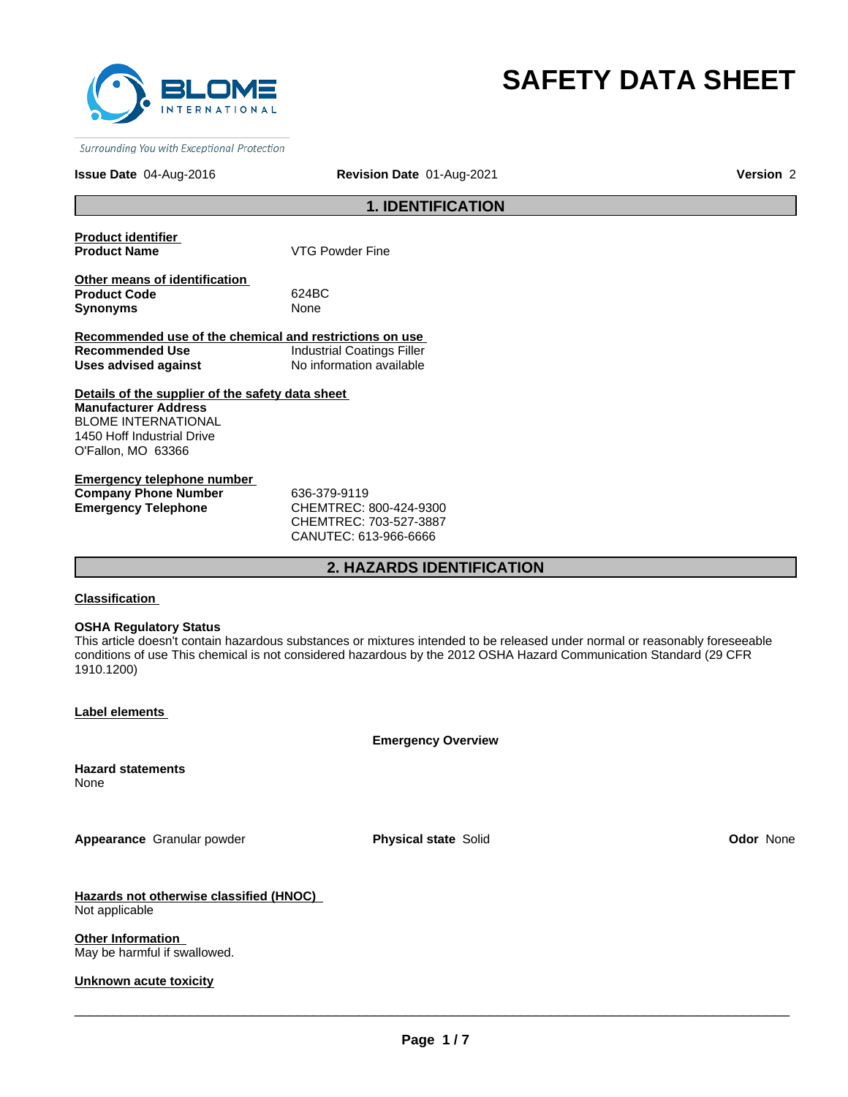

# **SAFETY DATA SHEET**

Surrounding You with Exceptional Protection

#### **Issue Date** 04-Aug-2016

**Revision Date** 01-Aug-2021 **Version** 2

### **1. IDENTIFICATION**

**Product identifier** 

**VTG Powder Fine** 

**Other means of identification Product Code** 624BC **Synonyms** None

**Recommended use of the chemical and restrictions on use Recommended Use Industrial Coatings Filler Uses advised against** No information available

**Details of the supplier of the safety data sheet Manufacturer Address** BLOME INTERNATIONAL 1450 Hoff Industrial Drive O'Fallon, MO 63366

**Emergency telephone number Company Phone Number** 636-379-9119 **Emergency Telephone** CHEMTREC: 800-424-9300

CHEMTREC: 703-527-3887 CANUTEC: 613-966-6666

### **2. HAZARDS IDENTIFICATION**

#### **Classification**

#### **OSHA Regulatory Status**

This article doesn't contain hazardous substances or mixtures intended to be released under normal or reasonably foreseeable conditions of use This chemical is not considered hazardous by the 2012 OSHA Hazard Communication Standard (29 CFR 1910.1200)

**Label elements** 

**Emergency Overview**

**Hazard statements** None

**Appearance** Granular powder **Physical state** Solid **Odor** None

**Hazards not otherwise classified (HNOC)**  Not applicable

**Other Information**  May be harmful if swallowed.

**Unknown acute toxicity**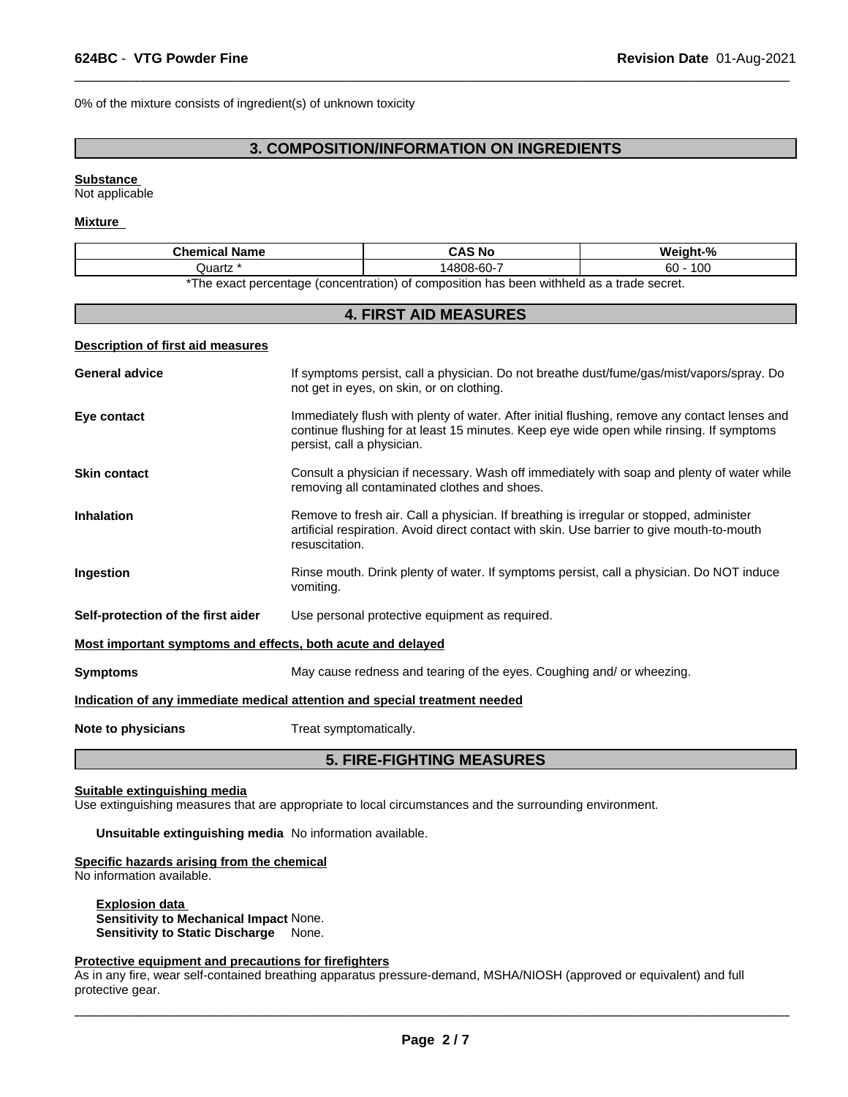0% of the mixture consists of ingredient(s) of unknown toxicity

### **3. COMPOSITION/INFORMATION ON INGREDIENTS**

 $\overline{\phantom{a}}$  ,  $\overline{\phantom{a}}$  ,  $\overline{\phantom{a}}$  ,  $\overline{\phantom{a}}$  ,  $\overline{\phantom{a}}$  ,  $\overline{\phantom{a}}$  ,  $\overline{\phantom{a}}$  ,  $\overline{\phantom{a}}$  ,  $\overline{\phantom{a}}$  ,  $\overline{\phantom{a}}$  ,  $\overline{\phantom{a}}$  ,  $\overline{\phantom{a}}$  ,  $\overline{\phantom{a}}$  ,  $\overline{\phantom{a}}$  ,  $\overline{\phantom{a}}$  ,  $\overline{\phantom{a}}$ 

#### **Substance**

Not applicable

#### **Mixture**

| <b>Chemical Name</b>                                                       |                                                                                                                                                                                                                         | <b>CAS No</b>                                                                                                                              | Weight-%   |  |
|----------------------------------------------------------------------------|-------------------------------------------------------------------------------------------------------------------------------------------------------------------------------------------------------------------------|--------------------------------------------------------------------------------------------------------------------------------------------|------------|--|
| Quartz *                                                                   |                                                                                                                                                                                                                         | 14808-60-7                                                                                                                                 | $60 - 100$ |  |
|                                                                            |                                                                                                                                                                                                                         | *The exact percentage (concentration) of composition has been withheld as a trade secret.                                                  |            |  |
|                                                                            |                                                                                                                                                                                                                         | <b>4. FIRST AID MEASURES</b>                                                                                                               |            |  |
| Description of first aid measures                                          |                                                                                                                                                                                                                         |                                                                                                                                            |            |  |
| <b>General advice</b>                                                      |                                                                                                                                                                                                                         | If symptoms persist, call a physician. Do not breathe dust/fume/gas/mist/vapors/spray. Do<br>not get in eyes, on skin, or on clothing.     |            |  |
| Eye contact                                                                | Immediately flush with plenty of water. After initial flushing, remove any contact lenses and<br>continue flushing for at least 15 minutes. Keep eye wide open while rinsing. If symptoms<br>persist, call a physician. |                                                                                                                                            |            |  |
| <b>Skin contact</b>                                                        |                                                                                                                                                                                                                         | Consult a physician if necessary. Wash off immediately with soap and plenty of water while<br>removing all contaminated clothes and shoes. |            |  |
| <b>Inhalation</b>                                                          | Remove to fresh air. Call a physician. If breathing is irregular or stopped, administer<br>artificial respiration. Avoid direct contact with skin. Use barrier to give mouth-to-mouth<br>resuscitation.                 |                                                                                                                                            |            |  |
| Ingestion                                                                  | vomiting.                                                                                                                                                                                                               | Rinse mouth. Drink plenty of water. If symptoms persist, call a physician. Do NOT induce                                                   |            |  |
| Self-protection of the first aider                                         | Use personal protective equipment as required.                                                                                                                                                                          |                                                                                                                                            |            |  |
| Most important symptoms and effects, both acute and delayed                |                                                                                                                                                                                                                         |                                                                                                                                            |            |  |
| <b>Symptoms</b>                                                            | May cause redness and tearing of the eyes. Coughing and/ or wheezing.                                                                                                                                                   |                                                                                                                                            |            |  |
| Indication of any immediate medical attention and special treatment needed |                                                                                                                                                                                                                         |                                                                                                                                            |            |  |
| Note to physicians                                                         | Treat symptomatically.                                                                                                                                                                                                  |                                                                                                                                            |            |  |
|                                                                            |                                                                                                                                                                                                                         | <b>5. FIRE-FIGHTING MEASURES</b>                                                                                                           |            |  |

#### **Suitable extinguishing media**

Use extinguishing measures that are appropriate to local circumstances and the surrounding environment.

**Unsuitable extinguishing media** No information available.

#### **Specific hazards arising from the chemical**

No information available.

**Explosion data Sensitivity to Mechanical Impact** None. **Sensitivity to Static Discharge** None.

#### **Protective equipment and precautions for firefighters**

As in any fire, wear self-contained breathing apparatus pressure-demand, MSHA/NIOSH (approved or equivalent) and full protective gear.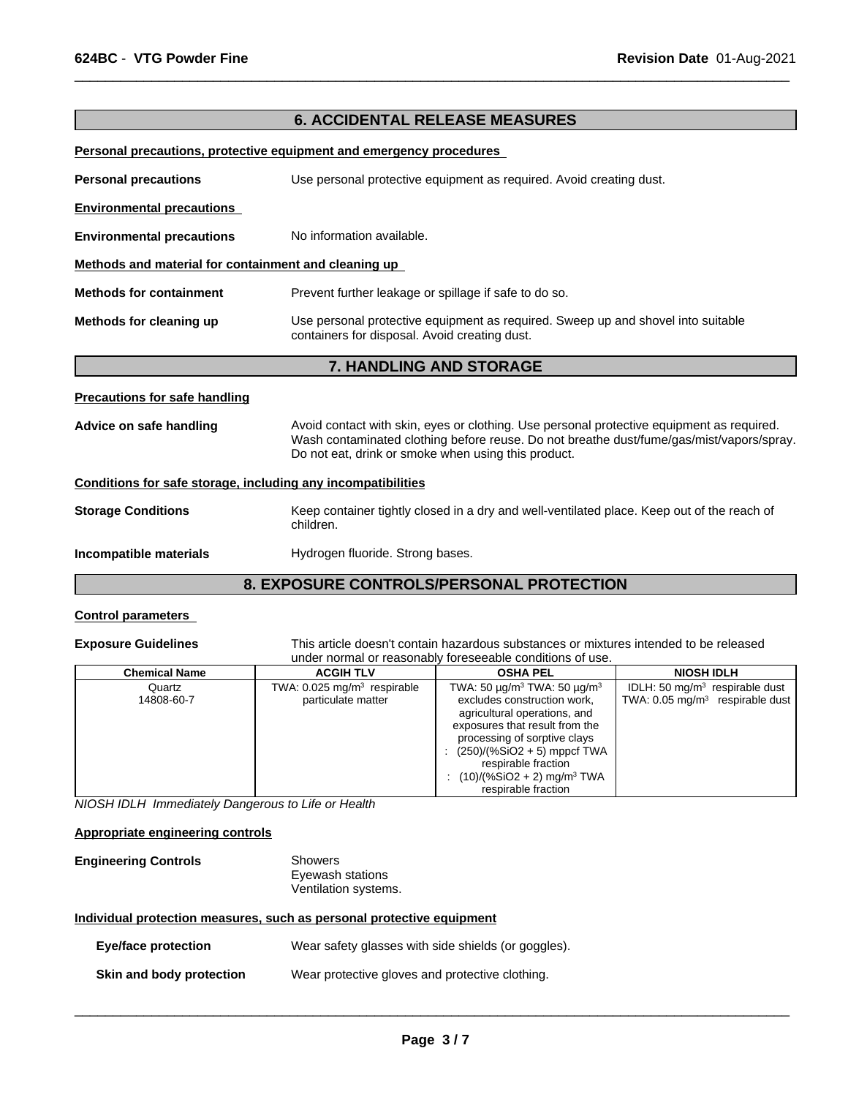### **6. ACCIDENTAL RELEASE MEASURES**

 $\overline{\phantom{a}}$  ,  $\overline{\phantom{a}}$  ,  $\overline{\phantom{a}}$  ,  $\overline{\phantom{a}}$  ,  $\overline{\phantom{a}}$  ,  $\overline{\phantom{a}}$  ,  $\overline{\phantom{a}}$  ,  $\overline{\phantom{a}}$  ,  $\overline{\phantom{a}}$  ,  $\overline{\phantom{a}}$  ,  $\overline{\phantom{a}}$  ,  $\overline{\phantom{a}}$  ,  $\overline{\phantom{a}}$  ,  $\overline{\phantom{a}}$  ,  $\overline{\phantom{a}}$  ,  $\overline{\phantom{a}}$ 

**Personal precautions, protective equipment and emergency procedures** 

| <b>Personal precautions</b><br>Use personal protective equipment as required. Avoid creating dust. |                                                                                                                                                                                                                                              |  |  |  |  |
|----------------------------------------------------------------------------------------------------|----------------------------------------------------------------------------------------------------------------------------------------------------------------------------------------------------------------------------------------------|--|--|--|--|
| <b>Environmental precautions</b>                                                                   |                                                                                                                                                                                                                                              |  |  |  |  |
| <b>Environmental precautions</b>                                                                   | No information available.                                                                                                                                                                                                                    |  |  |  |  |
| Methods and material for containment and cleaning up                                               |                                                                                                                                                                                                                                              |  |  |  |  |
| <b>Methods for containment</b>                                                                     | Prevent further leakage or spillage if safe to do so.                                                                                                                                                                                        |  |  |  |  |
| Methods for cleaning up                                                                            | Use personal protective equipment as required. Sweep up and shovel into suitable<br>containers for disposal. Avoid creating dust.                                                                                                            |  |  |  |  |
| <b>7. HANDLING AND STORAGE</b>                                                                     |                                                                                                                                                                                                                                              |  |  |  |  |
| <b>Precautions for safe handling</b>                                                               |                                                                                                                                                                                                                                              |  |  |  |  |
| Advice on safe handling                                                                            | Avoid contact with skin, eyes or clothing. Use personal protective equipment as required.<br>Wash contaminated clothing before reuse. Do not breathe dust/fume/gas/mist/vapors/spray.<br>Do not eat, drink or smoke when using this product. |  |  |  |  |
| Conditions for safe storage, including any incompatibilities                                       |                                                                                                                                                                                                                                              |  |  |  |  |
| <b>Storage Conditions</b>                                                                          | Keep container tightly closed in a dry and well-ventilated place. Keep out of the reach of<br>children.                                                                                                                                      |  |  |  |  |
| Incompatible materials                                                                             | Hydrogen fluoride. Strong bases.                                                                                                                                                                                                             |  |  |  |  |

### **8. EXPOSURE CONTROLS/PERSONAL PROTECTION**

#### **Control parameters**

**Exposure Guidelines** This article doesn't contain hazardous substances or mixtures intended to be released under normal or reasonably foreseeable conditions of use.

| <b>Chemical Name</b> | <b>ACGIH TLV</b>                                                | <b>OSHA PEL</b>                                                                                                                                                                                                                                                                                                              | <b>NIOSH IDLH</b>                                                              |
|----------------------|-----------------------------------------------------------------|------------------------------------------------------------------------------------------------------------------------------------------------------------------------------------------------------------------------------------------------------------------------------------------------------------------------------|--------------------------------------------------------------------------------|
| Quartz<br>14808-60-7 | TWA: $0.025$ mg/m <sup>3</sup> respirable<br>particulate matter | TWA: 50 $\mu$ g/m <sup>3</sup> TWA: 50 $\mu$ g/m <sup>3</sup><br>excludes construction work,<br>agricultural operations, and<br>exposures that result from the<br>processing of sorptive clays<br>: $(250)/(%SiO2 + 5)$ mppcf TWA<br>respirable fraction<br>$(10)/($ %SiO2 + 2) mg/m <sup>3</sup> TWA<br>respirable fraction | IDLH: 50 $mq/m3$ respirable dust<br>TWA: $0.05 \text{ mg/m}^3$ respirable dust |

*NIOSH IDLH Immediately Dangerous to Life or Health*

#### **Appropriate engineering controls**

| <b>Engineering Controls</b> | Showers              |
|-----------------------------|----------------------|
|                             | Eyewash stations     |
|                             | Ventilation systems. |

#### **Individual protection measures, such as personal protective equipment**

| <b>Eye/face protection</b> | Wear safety glasses with side shields (or goggles). |
|----------------------------|-----------------------------------------------------|
| Skin and body protection   | Wear protective gloves and protective clothing.     |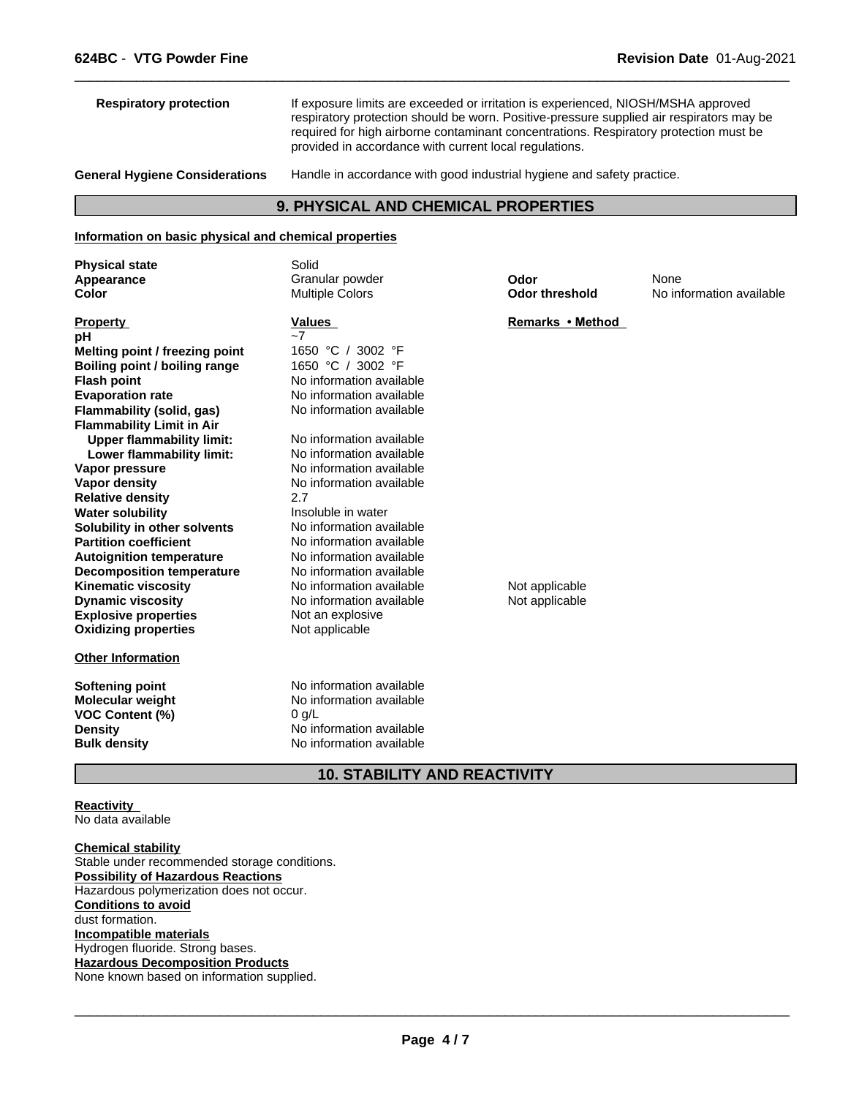| <b>Respiratory protection</b>                                   | If exposure limits are exceeded or irritation is experienced, NIOSH/MSHA approved<br>respiratory protection should be worn. Positive-pressure supplied air respirators may be<br>required for high airborne contaminant concentrations. Respiratory protection must be<br>provided in accordance with current local regulations. |                       |                          |  |  |
|-----------------------------------------------------------------|----------------------------------------------------------------------------------------------------------------------------------------------------------------------------------------------------------------------------------------------------------------------------------------------------------------------------------|-----------------------|--------------------------|--|--|
| <b>General Hygiene Considerations</b>                           | Handle in accordance with good industrial hygiene and safety practice.                                                                                                                                                                                                                                                           |                       |                          |  |  |
|                                                                 | <b>9. PHYSICAL AND CHEMICAL PROPERTIES</b>                                                                                                                                                                                                                                                                                       |                       |                          |  |  |
| Information on basic physical and chemical properties           |                                                                                                                                                                                                                                                                                                                                  |                       |                          |  |  |
| <b>Physical state</b>                                           | Solid                                                                                                                                                                                                                                                                                                                            |                       |                          |  |  |
| Appearance                                                      | Granular powder                                                                                                                                                                                                                                                                                                                  | Odor                  | None                     |  |  |
| <b>Color</b>                                                    | <b>Multiple Colors</b>                                                                                                                                                                                                                                                                                                           | <b>Odor threshold</b> | No information available |  |  |
| <b>Property</b>                                                 | Values<br>$-7$                                                                                                                                                                                                                                                                                                                   | Remarks • Method      |                          |  |  |
| pH                                                              | 1650 °C<br>3002 °F                                                                                                                                                                                                                                                                                                               |                       |                          |  |  |
| Melting point / freezing point<br>Boiling point / boiling range | 1650 °C / 3002 °F                                                                                                                                                                                                                                                                                                                |                       |                          |  |  |
|                                                                 | No information available                                                                                                                                                                                                                                                                                                         |                       |                          |  |  |
| <b>Flash point</b>                                              | No information available                                                                                                                                                                                                                                                                                                         |                       |                          |  |  |
| <b>Evaporation rate</b>                                         | No information available                                                                                                                                                                                                                                                                                                         |                       |                          |  |  |
| Flammability (solid, gas)                                       |                                                                                                                                                                                                                                                                                                                                  |                       |                          |  |  |
| <b>Flammability Limit in Air</b>                                |                                                                                                                                                                                                                                                                                                                                  |                       |                          |  |  |
| <b>Upper flammability limit:</b>                                | No information available                                                                                                                                                                                                                                                                                                         |                       |                          |  |  |

 $\overline{\phantom{a}}$  ,  $\overline{\phantom{a}}$  ,  $\overline{\phantom{a}}$  ,  $\overline{\phantom{a}}$  ,  $\overline{\phantom{a}}$  ,  $\overline{\phantom{a}}$  ,  $\overline{\phantom{a}}$  ,  $\overline{\phantom{a}}$  ,  $\overline{\phantom{a}}$  ,  $\overline{\phantom{a}}$  ,  $\overline{\phantom{a}}$  ,  $\overline{\phantom{a}}$  ,  $\overline{\phantom{a}}$  ,  $\overline{\phantom{a}}$  ,  $\overline{\phantom{a}}$  ,  $\overline{\phantom{a}}$ 

**Kinematic viscosity**<br> **Not applicable** No information available<br>
Not applicable<br>
Not applicable

**Reactivity**  No data available

**Other Information**

**Dynamic viscosity** 

**Solubility in other solvents<br>Partition coefficient** 

**Relative density** 2.7

**Chemical stability** Stable under recommended storage conditions. **Possibility of Hazardous Reactions** Hazardous polymerization does not occur. **Conditions to avoid** dust formation. **Incompatible materials** Hydrogen fluoride. Strong bases. **Hazardous Decomposition Products** None known based on information supplied.

**VOC Content (%)** 0 g/L

**Explosive properties** Not an explosive **Oxidizing properties** Not applicable

**Softening point**<br> **Molecular weight**<br> **Molecular weight**<br> **Molecular weight**<br> **Molecular weight**<br> **Molecular weight** 

**Water solubility <br>
<b>Solubility in other solvents Interpret in No** information available

**Lower flammability limit:** No information available

**Vapor pressure** No information available

**Vapor density** No information available

**Autoignition temperature No information available**<br> **Decomposition temperature No information available** 

**Density** No information available **Bulk density** No information available

**No information available** 

No information available<br>No information available

**Decomposition temperature** No information available<br> **Kinematic viscosity** No information available **Note and Solution** Not applicable

 $\overline{\phantom{a}}$  ,  $\overline{\phantom{a}}$  ,  $\overline{\phantom{a}}$  ,  $\overline{\phantom{a}}$  ,  $\overline{\phantom{a}}$  ,  $\overline{\phantom{a}}$  ,  $\overline{\phantom{a}}$  ,  $\overline{\phantom{a}}$  ,  $\overline{\phantom{a}}$  ,  $\overline{\phantom{a}}$  ,  $\overline{\phantom{a}}$  ,  $\overline{\phantom{a}}$  ,  $\overline{\phantom{a}}$  ,  $\overline{\phantom{a}}$  ,  $\overline{\phantom{a}}$  ,  $\overline{\phantom{a}}$ 

**10. STABILITY AND REACTIVITY**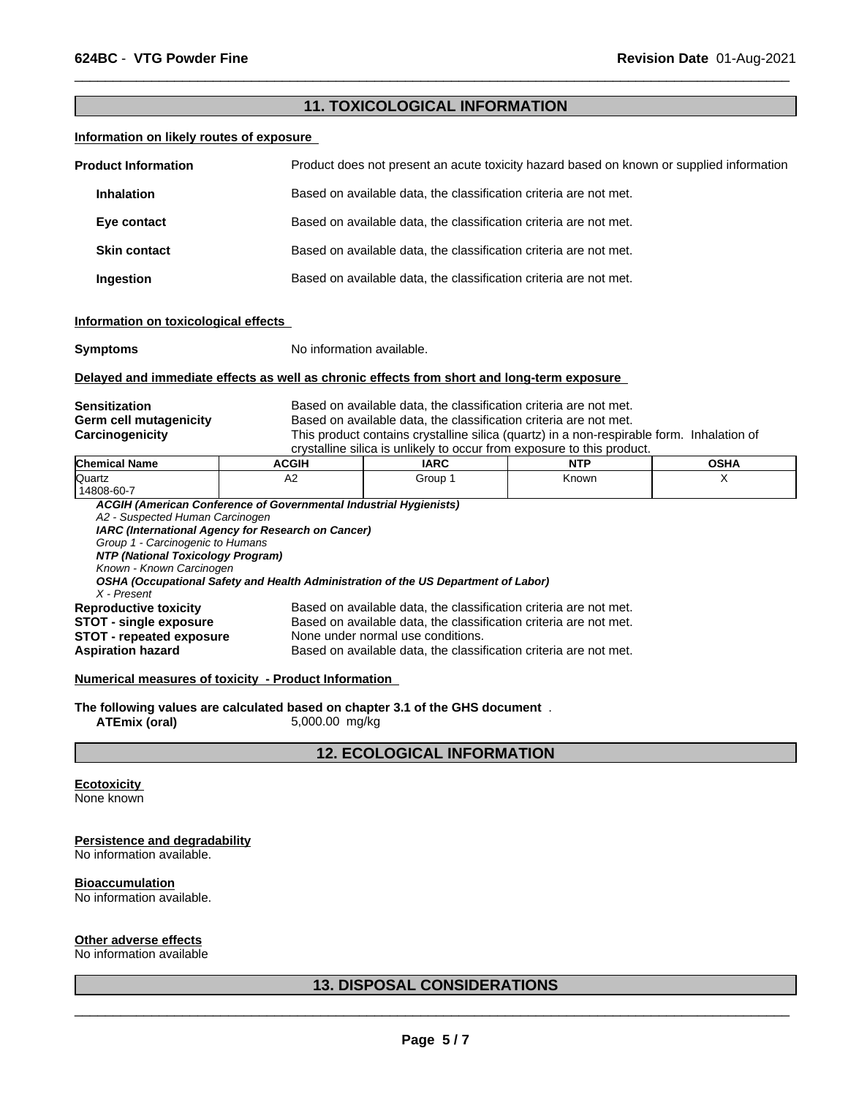### **11. TOXICOLOGICAL INFORMATION**

 $\overline{\phantom{a}}$  ,  $\overline{\phantom{a}}$  ,  $\overline{\phantom{a}}$  ,  $\overline{\phantom{a}}$  ,  $\overline{\phantom{a}}$  ,  $\overline{\phantom{a}}$  ,  $\overline{\phantom{a}}$  ,  $\overline{\phantom{a}}$  ,  $\overline{\phantom{a}}$  ,  $\overline{\phantom{a}}$  ,  $\overline{\phantom{a}}$  ,  $\overline{\phantom{a}}$  ,  $\overline{\phantom{a}}$  ,  $\overline{\phantom{a}}$  ,  $\overline{\phantom{a}}$  ,  $\overline{\phantom{a}}$ 

#### **Information on likely routes of exposure**

| <b>Product Information</b> |                     | Product does not present an acute toxicity hazard based on known or supplied information |  |  |
|----------------------------|---------------------|------------------------------------------------------------------------------------------|--|--|
|                            | <b>Inhalation</b>   | Based on available data, the classification criteria are not met.                        |  |  |
|                            | Eye contact         | Based on available data, the classification criteria are not met.                        |  |  |
|                            | <b>Skin contact</b> | Based on available data, the classification criteria are not met.                        |  |  |
|                            | Ingestion           | Based on available data, the classification criteria are not met.                        |  |  |

#### **Information on toxicological effects**

| <b>Symptoms</b> |
|-----------------|
|-----------------|

**Symptoms** No information available.

#### **Delayed and immediate effects as well as chronic effects from short and long-term exposure**

| Sensitization          | Based on available data, the classification criteria are not met.                         |
|------------------------|-------------------------------------------------------------------------------------------|
| Germ cell mutagenicity | Based on available data, the classification criteria are not met.                         |
| Carcinogenicity        | This product contains crystalline silica (quartz) in a non-respirable form. Inhalation of |
|                        | crystalline silica is unlikely to occur from exposure to this product.                    |

| <b>Chemical Name</b>              | <b>ACGIH</b>                                                      | <b>IARC</b>                                                                        | <b>NTP</b> | <b>OSHA</b> |
|-----------------------------------|-------------------------------------------------------------------|------------------------------------------------------------------------------------|------------|-------------|
| Quartz                            | A2                                                                | Group 1                                                                            | Known      | х           |
| 14808-60-7                        |                                                                   |                                                                                    |            |             |
|                                   | ACGIH (American Conference of Governmental Industrial Hygienists) |                                                                                    |            |             |
| A2 - Suspected Human Carcinogen   |                                                                   |                                                                                    |            |             |
|                                   | IARC (International Agency for Research on Cancer)                |                                                                                    |            |             |
| Group 1 - Carcinogenic to Humans  |                                                                   |                                                                                    |            |             |
| NTP (National Toxicology Program) |                                                                   |                                                                                    |            |             |
| Known - Known Carcinogen          |                                                                   |                                                                                    |            |             |
|                                   |                                                                   | OSHA (Occupational Safety and Health Administration of the US Department of Labor) |            |             |
| X - Present                       |                                                                   |                                                                                    |            |             |
| <b>Reproductive toxicity</b>      |                                                                   | Based on available data, the classification criteria are not met.                  |            |             |
| <b>STOT - single exposure</b>     |                                                                   | Based on available data, the classification criteria are not met.                  |            |             |
| <b>STOT - repeated exposure</b>   |                                                                   | None under normal use conditions.                                                  |            |             |
| <b>Aspiration hazard</b>          |                                                                   | Based on available data, the classification criteria are not met.                  |            |             |
|                                   |                                                                   |                                                                                    |            |             |

**Numerical measures of toxicity - Product Information** 

**The following values are calculated based on chapter 3.1 of the GHS document** . **ATEmix (oral)** 5,000.00 mg/kg **ATEmix (oral)** 5,000.00 mg/kg

**12. ECOLOGICAL INFORMATION**

## **Ecotoxicity**

None known

#### **Persistence and degradability**

No information available.

#### **Bioaccumulation**

No information available.

#### **Other adverse effects**

No information available

### **13. DISPOSAL CONSIDERATIONS**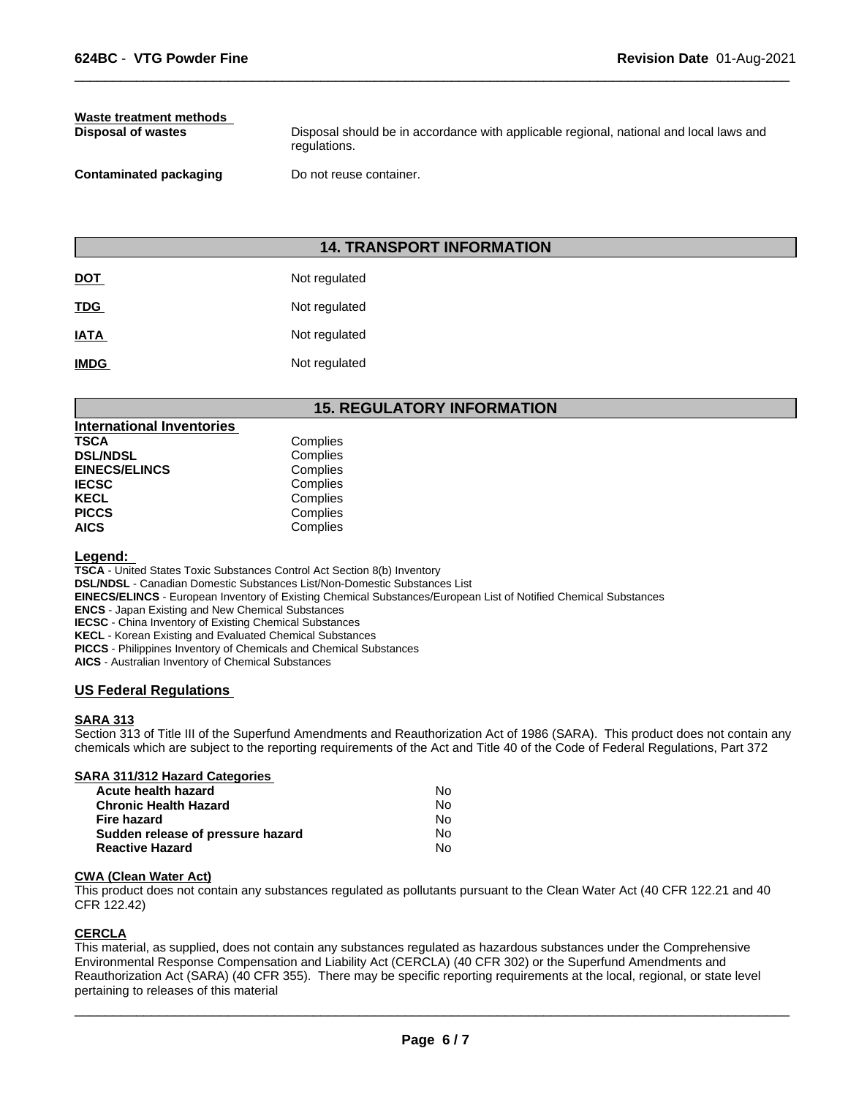# **Waste treatment methods**

**Disposal of wastes Disposal should be in accordance with applicable regional, national and local laws and <b>Disposal should be in accordance with applicable regional, national and local laws and** regulations.

 $\overline{\phantom{a}}$  ,  $\overline{\phantom{a}}$  ,  $\overline{\phantom{a}}$  ,  $\overline{\phantom{a}}$  ,  $\overline{\phantom{a}}$  ,  $\overline{\phantom{a}}$  ,  $\overline{\phantom{a}}$  ,  $\overline{\phantom{a}}$  ,  $\overline{\phantom{a}}$  ,  $\overline{\phantom{a}}$  ,  $\overline{\phantom{a}}$  ,  $\overline{\phantom{a}}$  ,  $\overline{\phantom{a}}$  ,  $\overline{\phantom{a}}$  ,  $\overline{\phantom{a}}$  ,  $\overline{\phantom{a}}$ 

**Contaminated packaging Do not reuse container.** 

### **14. TRANSPORT INFORMATION**

| <u>DOT</u>  | Not regulated |
|-------------|---------------|
| <b>TDG</b>  | Not regulated |
| <b>IATA</b> | Not regulated |
| <b>IMDG</b> | Not regulated |

### **15. REGULATORY INFORMATION**

| International Inventories |          |  |
|---------------------------|----------|--|
| TSCA                      | Complies |  |
| <b>DSL/NDSL</b>           | Complies |  |
| <b>EINECS/ELINCS</b>      | Complies |  |
| IECSC                     | Complies |  |
| KECL                      | Complies |  |
| PICCS                     | Complies |  |
| AICS                      | Complies |  |

### **Legend:**

**TSCA** - United States Toxic Substances Control Act Section 8(b) Inventory

**DSL/NDSL** - Canadian Domestic Substances List/Non-Domestic Substances List

**EINECS/ELINCS** - European Inventory of Existing Chemical Substances/European List of Notified Chemical Substances

**ENCS** - Japan Existing and New Chemical Substances

**IECSC** - China Inventory of Existing Chemical Substances

**KECL** - Korean Existing and Evaluated Chemical Substances

**PICCS** - Philippines Inventory of Chemicals and Chemical Substances

**AICS** - Australian Inventory of Chemical Substances

### **US Federal Regulations**

#### **SARA 313**

Section 313 of Title III of the Superfund Amendments and Reauthorization Act of 1986 (SARA). This product does not contain any chemicals which are subject to the reporting requirements of the Act and Title 40 of the Code of Federal Regulations, Part 372

| SARA 311/312 Hazard Categories    |    |  |
|-----------------------------------|----|--|
| Acute health hazard               | No |  |
| <b>Chronic Health Hazard</b>      | No |  |
| Fire hazard                       | No |  |
| Sudden release of pressure hazard | No |  |
| <b>Reactive Hazard</b>            | No |  |
|                                   |    |  |

#### **CWA (Clean Water Act)**

This product does not contain any substances regulated as pollutants pursuant to the Clean Water Act (40 CFR 122.21 and 40 CFR 122.42)

#### **CERCLA**

This material, as supplied, does not contain any substances regulated as hazardous substances under the Comprehensive Environmental Response Compensation and Liability Act (CERCLA) (40 CFR 302) or the Superfund Amendments and Reauthorization Act (SARA) (40 CFR 355). There may be specific reporting requirements at the local, regional, or state level pertaining to releases of this material